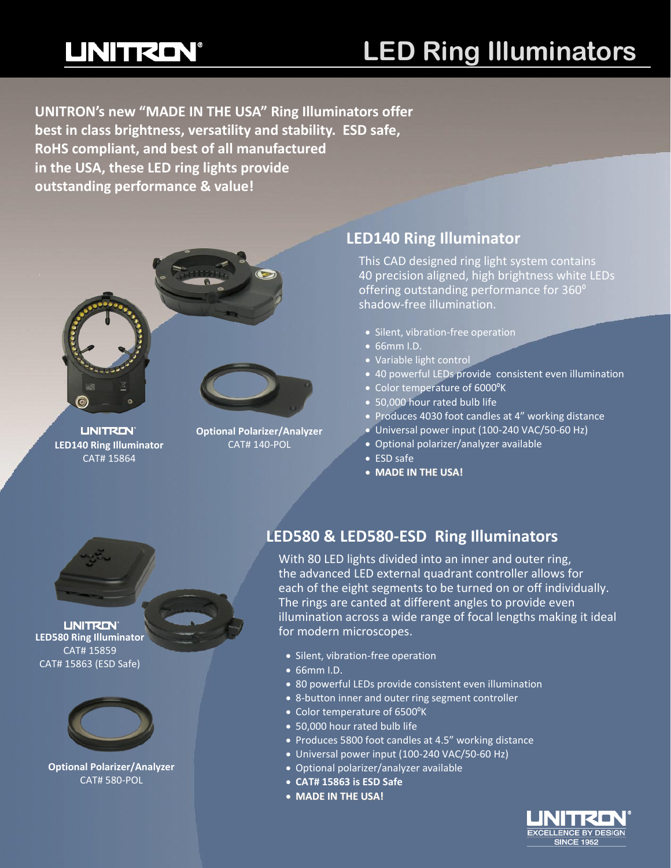## **UNITRON®**

### **LED Ring Illuminators**

**UNITRON's new "MADE IN THE USA" Ring Illuminators offer best in class brightness, versatility and stability. ESD safe, RoHS compliant, and best of all manufactured in the USA, these LED ring lights provide outstanding performance & value!**



**UNITRON**® **LED140 Ring Illuminator** CAT# 140-POL CAT# 15864



#### **LED140 Ring Illuminator**

This CAD designed ring light system contains 40 precision aligned, high brightness white LEDs offering outstanding performance for 360º shadow-free illumination.

- Silent, vibration-free operation
- 66mm I.D.
- Variable light control
- 40 powerful LEDs provide consistent even illumination
- Color temperature of 6000°K
- 50,000 hour rated bulb life
- Produces 4030 foot candles at 4" working distance
- Universal power input (100-240 VAC/50-60 Hz)
- Optional polarizer/analyzer available
- ESD safe
- **MADE IN THE USA!**



#### **LINITRON® LED580 Ring Illuminator** CAT# 15859 CAT# 15863 (ESD Safe)



**Optional Polarizer/Analyzer** CAT# 580-POL

#### **LED580 & LED580-ESD Ring Illuminators**

With 80 LED lights divided into an inner and outer ring, the advanced LED external quadrant controller allows for each of the eight segments to be turned on or off individually. The rings are canted at different angles to provide even illumination across a wide range of focal lengths making it ideal for modern microscopes.

- Silent, vibration-free operation
- 66mm I.D.
- 80 powerful LEDs provide consistent even illumination
- 8-button inner and outer ring segment controller
- Color temperature of 6500ºK
- 50,000 hour rated bulb life
- Produces 5800 foot candles at 4.5" working distance
- Universal power input (100-240 VAC/50-60 Hz)
- Optional polarizer/analyzer available
- **CAT# 15863 is ESD Safe**
- **MADE IN THE USA!**